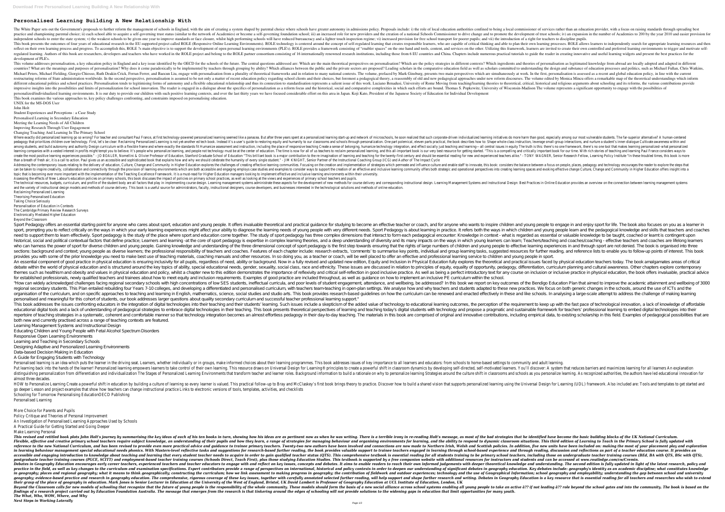## **Personalised Learning Building A New Relationship With**

The White Paper sets out the Government's proposals to further reform the management of schools in England, with the aim of creating a system shaped by parental choice where schools have greater autonomy in admissions poli n increased role for new providers and the multar to the network of Academies) or become a self-governing foundation school; iii) an increased role for new providers and the creation of a national Schools; iv) an expansion independent schools to enter the state system; v) the weakest schools to be given one year to improve standards or face closure, whilst high performing schools will have reduced bureaucracy and a lighter touch inspection f This book presents the outcomes of four years of educational research in the EU-supported project called ROLE (Responsive Online Learning Environments). ROLE technology is centered around the concept of self-regulated lear reflect on their own learning process and progress. To accomplish this, ROLE ?s main objective is to support the development of open personal learning environments (PLE's). ROLE provides a framework, learners are invited t note and belong to the ROLE project and belong to see from 6 EU countries and China. Chapters include numerous practical tutorials to guide the reader in creating innovative and useful learning widgets and present the best development of PLE's.

This volume addresses personalisation, a key education policy in England and a key issue identified by the OECD for the schools of the future. The central questions addressed are: Which are the policy strategies in differe countries? What are the meanings and purposes of personalisation? Why does it come paradoxically to be implemented by teachers through grouping by ability? Which alliances between the public and the private sectors are pro Michael Fielding, Giorgio Chiosso, Ruth Deakin Crick, Ferran Ferrer, and Baocun Liu, engage with personalisation from a plurality of theoretical frameworks and in relation to many national contexts. The volume, prefaced by restructuring reforms of State administration worldwide. In the second perspective, personalisation is assumed to be not only a matter of recent education policy regarding school clients and their choices, but foremost a p different educational politics and school practices. Personalisation tends to legitimising forms of autonomy and a flexible educational relationship and thus its connection to standardisation represents a salient issue of impressive insights into the possibilities and limits of personalization for school innovation. The reader is engaged in a dialogue about the specifics of personalization as a reform focus and the historical, social and co personalized/individualized learning environments. It is our duty to provide our children with such positive learning contexts, and over the last thirty years we have focused considerable effort on this area in Japan. Koji This book examines the various approaches to, key policy challenges confronting, and constraints imposed on personalising education. UNIX for the MS-DOS User

Where exactly did personalized learning go so wrong? For teacher and consultant Paul France, at first technology-powered personalized learning start-up and network of microschools, he soon realized learning initiatives do pedagogy that prioritizes children over technology. First, let's be clear: Reclaiming Personalized Learning Personalized Learning is not yet-another ed tech book. Instead it's a user's quide to restoring equity and humanit among students, and build autonomy and authority Design curriculum with a flexible frame and where exactly the standards fit Humanize assessment and learning—all central issues in equity The truth is this; there's no one f learning companies with a vested interest in profits might tempt you to believe. It's people who personalize learning, and people who personalized learning, and the center of education. The time is now for all of us teache create the most positive learning experiences possible." - JO BOALER, Nomellini & Olivier Professor of Education, Stanford Graduate School of Education "This brilliant book is a major contribution to the re-imagination of than a breath of fresh air, it is a call to action. Paul gives us an accessible and sophisticated book that explains how and why we should celebrate the humanity of every single student." - JIM KNIGHT, Senior Partner of th Enduncation, Culture, Change and Community in Higher Education and implementation of strategies which permeate and influence culture and enable staff to innovate, this book: considers the balance between a focus on people, can be taken to inspire creativity, collaboration and connectivity through the provision of learning environments which are both strategic and operational perspectives into creating learning spaces and evoking effective ch topic that is becoming ever more important with the implementation of the Teaching Excellence Framework. It is a must-read for Higher Education managers looking to implement effective and inclusive learning environments wi Assessing the effects of New Labour's education policies on primary schools, this book discusses the impact of policies on primary school practices, as well as looking at the views and experiences of primary school teacher The technical resources, budgets, curriculum, and profile of the student body are all factors that play in implementing course design. Learning Management Systems and Instructional Design: Best Practices in Online Educatio and the variety of instructional design models and methods of course delivery. This book is a useful source for administrators, faculty, instructional designers, course developers, and businesses interested in the technolo Reclaiming Personalized Learning

John Holt

Student Experiences and Perceptions : a Case Study

Personalised Learning in Secondary Education

Meeting the Learning Needs of All Children

Improving Research Through User Engagement Changing Teaching And Learning In The Primary School

Sport Pedagogy offers an essential starting point for anyone who cares about sport, education and young people. It offers invaluable theoretical and practical guidance for studying to become an effective teacher or coach, sport, prompting you to reflect critically on the ways in which your early learning experiences might affect your ability to diagnose the learning in practice. It refers both the ways in which children and young people lea need to support them to learn effectively. Sport pedagogy is the study of the place where sport and education come together. The study of sport pedagogical encounter: Knowledge in context - what is regarded as essential or historical, social and political contextual factors that define practice; Learners and learning -at the core of sport pedagogy is expertise in complex learning theories, and a deep understanding of diversity and its many i who can harness the power of sport for diverse children and young people. Gaining knowledge and understanding of the three dimensional concept of sport pedagogy is the first step towards ensuring that the rights of large n sections: background and context young people as diverse learners; the professional responsibility of teachers and coaches. Features of each chapter include: research extracts, suggested resources for further reading, and provides you with some of the prior knowledge you need to make best use of teaching materials, coaching manuals and other resources. In so doing you, as a teacher or coach, will be well placed to offer an effective and pro An essential component of good practice in physical education is ensuring inclusivity for all pupils, regardless of need, ability or background. Now in a fully revised and practical issues faced by physical education teach debate within the world of physical education and is structured around the key topics of ability, special educational needs, gender, sexuality, equality of opportunity, pedagogy, differentiation, curriculum planning and cu themes such as healthism and obesity and values in physical education and policy, whilsta chapter new to this edition demonstrates the importance of reflexivity and critical self-reflection in good inclusive practice in ph for established professionals, newly qualified teachers and trainees about how to meet equity and inclusion requirements. Examples of good practice are included throughout, as well as quidance on how to implement an inclus "How can widely acknowledged challenges facing regional secondary schools with high concentrations of low SES students, ineffectual curricula, and poor levels of students, ineffectual curricula, and poor levels of student regional secondary students. This Plan entailed rebuilding four Years 7-10 colleges, and developing a differentiated and personalised curriculum, with teachers and students adapted to these new practices. We focus on both organisation of the curriculum, and on specific approaches to teaching and learning in English, mathematics, science, social studies and studio arts. This book provides research-based quidelines on how the curriculum can b personalised and meaningful for this cohort of students, our book addresses larger questions about quality secondary curriculum and successful teacher professional learning support." This book addresses the issues confronting educators in the integration of digital technologies into their teaching and their students' learning, Such issues include a skepticism of the requirement to keep up with the fast educational digital tools and a lack of understanding of pedagogical strategies to embrace digital technologies in their teaching. This book presents theoretical perspectives of learning and teaching and teaching and teach repertoire of teaching strategies in a systematic, coherent and comfortable manner so that technology integration becomes an almost effortless pedagogy in their day-to-day teaching. The materials in this book are comprised both new and currently practised across a range of teaching contexts are featured.

Personalised learning is an idea which puts the learner in the driving seat. Learners, whether individually or in groups, make informed choices about their learning programmes. This book addresses issues of key importance Put learning back into the hands of the learner! Personalized learning empowers learners to take control of their own learning. This resource draws on Universal Design for Learning® principles to create a powerful shift in distinguishing personalization from differentiation and individualization The Stages of Personalized Learning Environments that transform teacher and learner roles. Background information to build a rationale on why to per almost three decades.

HOW to Personalize Learning Create a powerful shift in education by building a culture of learning so every learner is valued. This practical follow-up to Bray and McClaskey's first book brings theory to practical follow-u go deeper Lesson and project examples that show how teachers can change instructional practice Links to electronic versions of tools, templates, activities, and checklists Schooling for Tomorrow Personalising EducationOECD Publishing Personalised Learning

Theorising Personalised Education

Taking Choice Seriously

Personalisation of Education in Contexts The Cambridge Primary Review Research Surveys Electronically Mediated Higher Education

Beyond the Classroom

This revised and retitled book plots John Holt's journey by summarising the key ideas of each of his ten books in turn, showing how his ideas are as pertinent now as when he was writing. There is a terrible irony in re-rea Flexible, effective and creative primary school teachers require subject knowledge, an understanding of their pupils and how they learn, a range of strategies for managing behaviour and organising environments for learning reference to the new National Curriculum, and has been revised to provide even more practical advice and guidance to trainee primary teachers. Twenty-two new authors have been included on: making the most of your placement in learning behaviour management special educational needs phonics. With Masters-level reflective tasks and suggestions for research-based experience and through reading, discussion and reflections as part of a teacher edu accessible and engaging introduction to knowledge about teaching and learning that every student teacher needs to acquire in order to gain qualified teachers, including to be primary school teachers, including those on und postgraduate teacher training courses (PGCE, SCITT) and employment-based teacher training courses (Schools Direct, Teach First), plus those studying Education Studies. This textbook is supported by a free companion website Debates in Geography Education encourages early career teachers, experienced teachers and teachers and teacher educators to engage with and reflect on key issues, concepts and debates. It aims to engage with and reflect on practice in the field, as well as key changes to the curriculum and examination specifications. Expert contributors provide a range of perspectives on international, historical and policy contexts in aeography education. K in geography; places and regional geography; what it means to think geographically; constructing the curriculum; how we link assessment to making progress in geography, the contribution of fieldwork and outdoor experiences geography; evidence-based practice and research in geography education. The comprehensive, rigorous coverage of these key issues, together with carefully annotated selected further research and writing. Debates in Geograph their grasp of the place of geography in education. Mark Jones is Senior Lecturer in Education at the University of the West of England, Bristol, UK David Lambert is Professor of Geography Education at UCL Institute of Edu Beyond the Classroom calls for new models of schooling that recognize that the future of young people is the responsibility of the whole community. These models should form the basis of a new social alliance across school findings of a research project carried out by Education Foundation Australia. The message that emerges from the research is that tinkering around the edges of schooling will not provide solutions to the widening gaps in ed *The What, Who, WOW, Where, and Why*

Learning Management Systems and Instructional Design Educating Children and Young People with Fetal Alcohol Spectrum Disorders

Responsive Open Learning Environments

Learning and Teaching in Secondary Schools

Designing Adaptive and Personalized Learning Environments

Data-based Decision Making in Education

A Guide for Engaging Students with Technology

More Choice for Parents and Pupils

Policy Critique and Theories of Personal Improvement

An Investigation of Personalised Learning Approaches Used by Schools

A Practical Guide for Getting Started and Going Deeper

Make Learning Personal

*Next Steps in Working Laterally*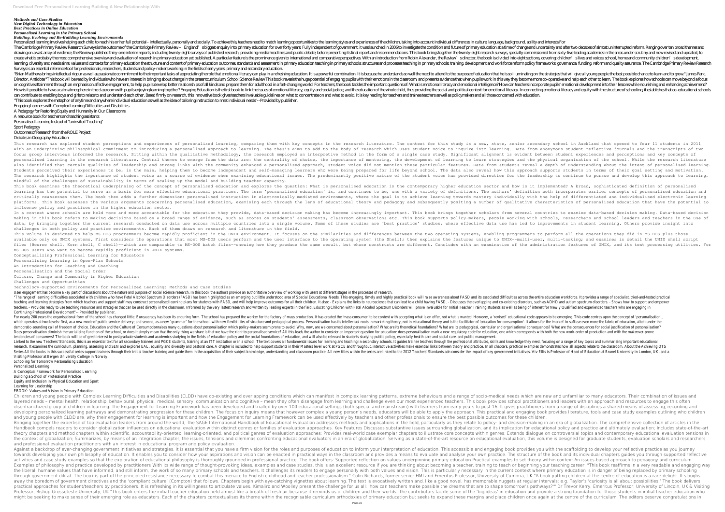## *Methods and Case Studies*

*New Digital Technology in Education Best Practices in Online Education*

*Personalised Learning in the Primary School*

*Building, Evolving and Re-Building Learning Environments*

Personalized learning involves helping each child to reach his or her full potential - intellectually, personally and socially. To achieve this, teachers need to match learning opportunities to the learning styles and expe The Cambridge Primary Review Research Surveys is the outcome of the Cambridge Primary Review – England's biggest enquiry into primary education at a time of change and uncertainty and after two decades of almost uninterrup drawing on a vast array of evidence, the Review published thiry-one interim reports, including twenty-eight surveys of published research, provoking media headlines and public debate, before presenting its final report and create what is probably the most comprehensive overview and evaluation of research in primary education yet published. A particular feature is the prominence given to international and comparative perspectives. With an int learning, diversity and needs aims, values and contexts for primary education the structure and content of primary education outcomes, standards and assessment in primary schools, structures and processes teaching in prima Surveys is an essential reference tool for professionals, researchers, students and policy-makers working in the fields of early years, primary and secondary education. "Brian Matthews brings intellectual rigour as well as passionate commitment to the important tasks of appreciating the role that emotional literacy can play in a refreshing education. It is because he understands so well t Director, Antidote "This book will be read by individuals who have an interest in bringing about change in the presentcurriculum. School Science Review This book reveals the huge potential of engaging pupils with their emo on cognitive attainment through an emphasis on affective engagement, to help pupils develop better relationships of all kinds and prepare them for adulthood in a fast-changing world. For teachers incorporate pupils' emotio How is it possible to have a calm atmosphere in the classroom with pupils enjoying learning together? Engaging Education is the first book to link the issues of emotional literacy. In connecting emotional literacy and equi can contribute to enabling boys and girls to relate to and understand each other. Based firmly on research, this innovative book gives teachers invaluable guidelines on what to concentrate on and what to avoid. It is key r "This book explores the metaphor of anytime and anywhere individual education as well as the idea of tailoring instruction to meet individual needs"--Provided by publisher. Engaging Learners with Complex Learning Difficulties and Disabilities

This research has explored student perceptions and experiences of personalised learning, comparing them with key concepts in the research literature. The context for this study is a new, state, senior secondary school in A with an underpinning philosophical commitment to introducing a personalised approach to learning. The thesis aims to add to the body of research which uses student voice to inquire into learning. Data from anonymous studen focus group interviews informed the research. Sitting within the qualitative methodology, the research employed an interpretive method in the form of a single case study. Significant alignment is evident between student ex personalised learning in the research literature. Central themes to emerge from the data are: the centrality of choice, the importance of mentoring, the development of learning to learn strategies and the physical organisa also identified that certain qualities of leadership and strong links with the community enhanced a personalised approach, student voice did not mention these particular features. Data from students reveal a depth of under Students perceived their experiences to be, in the main, helping them to become independent and self-managing learners who were being prepared for life beyond school. The data also reveal how this approach supports student The research highlights the importance of student voice as a source of evidence when examining educational issues. The predominantly positive nature of the student voice has provided direction for the leadership to continu mindful of the challenges of sustainability in terms of scaling up the model and building teacher capacity. This book examines the theoretical underpinning of the concept of personalised education and explores the question: What is personalised education in the contemporary higher education sector and how is it implemented? A br learning has the potential to serve as a basis for more effective educational practices. The term 'personalised education' is, and continues to be, one with a variety of definitions. The authors' definition both incorporat critically reassesses them. The book then adds a further dimension: personalised instruction in electronically mediated environments, where the goal is to achieve learning towards mastery individually with the help of diff platforms. This book assesses the various arguments concerning personalised education, examining each through the lens of educational theory and pedagogy and subsequently positing a number of qualitative characteristics of influence policy and practices in the higher education sector.

A Pedagogy for Restoring Equity and Humanity in Our Classrooms

A resource book for teachers and teaching assistants

Personalised Learning Instead of "uninvited Teaching"

Sport Pedagogy

Outcomes of Research from the ROLE Project

Debates in Geography Education

In a context where schools are held more and more accountable for the education they provide, data-based decision making has become increasingly important. This book brings together scholars from several countries to exami making in this book refers to making decisions based on a broad range of evidence, such as scores on students' assessments, classroom observations etc. This book supports policy-makers, people working with schools, researc data, by bringing together the current research conducted on data use across multiple countries into a single volume. Some of these studies are 'best practice' studies are 'best practice' studies, where effective data use challenges in both policy and practice environments. Each of them draws on research and literature in the field. This volume is designed to help MS-DOS programmers become rapidly proficient in the UNIX environment. It focuses on the similarities and differences between the two operating systems, enabling programmers to perform all th available only on UNIX systems. First considers the operations that most MS-DOS users perform and the user interface to the operating system (the Shell); then explains the features unique to UNIX--multi-user, multi-tasking files (Bourne shell, Korn shell, C shell)--which are comparable to MS-DOS batch files--showing how they produce the same result, but whose constructs are different. Concludes with an examination of the administration featu MS-DOS users who want to become rapidly proficient in UNIX systems.

User engagement has become a key part of discussions about the nature and purpose of social science research. In this book the authors provide an authoritative overview of working with users at different stages in the proc "The range of learning difficulties associated with children who have Fetal Alcohol Spectrum Disorders (FASD) has been highlighted as an emerging but little understood area of Special Educational Needs. This engaging, time teaching and learning strategies from which teachers and support staff may construct personalised learning plans for students with FASD, and will help improve outcomes for all their children. It also: - Explains the links teachers. - Provides ready to use teaching resources and strategies that can be used directly in the classroom. Informed by the very lastest research and written by leading experts in the field, Educating Students as well Continuing Professional Development"-- Provided by publisher.

For nearly 200 years the organisational form of the school has changed little. Bureaucracy has been its enduring form. The school has prepared the 'mass consumer' to be content with accepting what is wanted. However, a 're which operates at two levels: first, as a new mode of public service delivery; and second, as a new 'grammar' for the school, with new flexibilities of structure and pedagogical process. Personalisation for sumption'. It a democratic-sounding call of freedom of choice. Education and the Culture of Consumptionraises many questions about personalisation which policy-makers seem prone to avoid: Why, now, are we concerned about personalisation? Does personalisation diminish the socialising function of the school, or does it simply mean that the only mean that the only thing we share is that we have the right to personalisation mark a new regulatory code for educa tendencies of consumers? The book will be of great interest to postgraduate students and academics studying in the fields of education policy and the social foundations of education, and will also be relevant to students s Linked to the new Teachers' Standards, this is an essential text for all secondary trainees and PGCE students, training at an ITT institution or in a school. The text covers all fundamental issues for learning and teaching research. It examines the curriculum, planning, assessing and SEN and explores EAL, equality and diversity and diversity and pastoral care. A chapter is included to help support students in their Masters, practical example Series All the books in this successful series support trainees through their initial teacher training and guide them in the acquisition of their subject knowledge, understanding and classroom practice. All new titles with Visiting Professor at Bergen University College in Norway. Schooling for Tomorrow Personalising Education

Children and young people with Complex Learning Difficulties and Disabilities (CLDD) have co-existing and overlapping conditions which can manifest in complex learning patterns, extreme behaviours and a range of socio-medi layered needs – mental health, relationship, behavioural, physical, medical, sensory, communication and cognitive – mean they often disengage from learning and challenge even our most experienced teachers. This book provid disenfranchized group of children in learning. The Engagement for Learning Framework has been developed and trialled by over 100 educational settings (both special and mainstream) with learners from a range of disciplines developing personalized learning pathways and demonstrating progression for these children. The focus on inquiry means that however complex a young person's needs, educators will be able to apply the approach. This practic and young people with CLDD are, why their engagement for learning is important and how the Engagement for Learning Framework can be used effectively by teachers and other professionals to ensure the best possible outcomes Bringing together the expertise of top evaluation leaders from around the world, The SAGE International Handbook of Educational Handbook of Educations in the field, particularly as they relate to policy- and decision-makin Handbook compels readers to consider globalization influences on educational evaluation within distinct genres or families of evaluation approaches. Key Features Discusses substantive issues surrounding globalization, and theory chapters and method chapters within scientific, accountability-oriented, learning-oriented, learning-oriented, and political genres of evaluation approaches; Extends dialogue on controversial topics and contemporary the context of globalization; Summarizes, by means of an integration chapter, the issues, tensions and dilemmas confronting educational evaluation, this volume is designed for graduate students, evaluation scholars and res and professional evaluation practitioners with an interest in educational program and policy evaluation.

Against a backdrop of ever-changing government initiatives and strategies, it is essential that you have a firm vision for the roles and purposes of education to inform your interpretation of education to inform your inter towards developing your own philosophy of education. It enables you to consider how your aspirations and vision can be enacted in practical ways in the classroom and provides a means to evaluate and analyse your own practi activities and case study examples so that the exploration of educational philosophy is thoroughly grounded in professional practical examples to set theory within context An issues-based approach to pedagogy and curriculu Examples of philosophy and practice developed by practitioners With its wide range of thought-provoking ideas, examples and case studies, this is an excellent resource if you are thinking about becoming your teaching caree the liberal, humane values that have informed, and still inform, the work of so many primary schools and teachers. It challenges its readers to engage personally with both values and vision. This is particularly necessary through government diktat. The book is part of the principled resistance necessary to combat this menace to English childhood and teacher professionalism." Colin Richards, former senior HMI and Emeritus Professionalism." C away the boredom of government directives and the 'compliant culture' (Compton) that follows. Chapters begin with eye-catching vignettes about learning. The text is evocatively written and, like a good novel, has memorable practical approaches for student/teachers by practitioners. It is refreshing in its willingness to articulate values. Kimaliro and Woolley present the challenge for us all: 'how can teachers make possible the challenge for Professor, Bishop Grosseteste University, UK "This book enters the initial teacher education field almost like a breath of fresh air because it reminds us of children and their worlds. The contributors tackle some of the ' might be seeking to make sense of their emerging role as educators. Each of the chapters contextualises its theme within the recognisable curriculum orthodoxies of primary education but seeks to expand these margins and pl

Conceptualizing Professional Learning for Educators

Personalising Learning in Open-Plan Schools

An Introduction for Teaching and Coaching

Personalisation and the Social Order

Culture, Change and Community in Higher Education

Challenges and Opportunities

Technology-Supported Environments for Personalized Learning: Methods and Case Studies

Personalized Learning

A Conceptual Framework for Personalised Learning

Building a School of Professional Practice

Equity and Inclusion in Physical Education and Sport

Learning for Leadership

EBOOK: Values and Vision in Primary Education